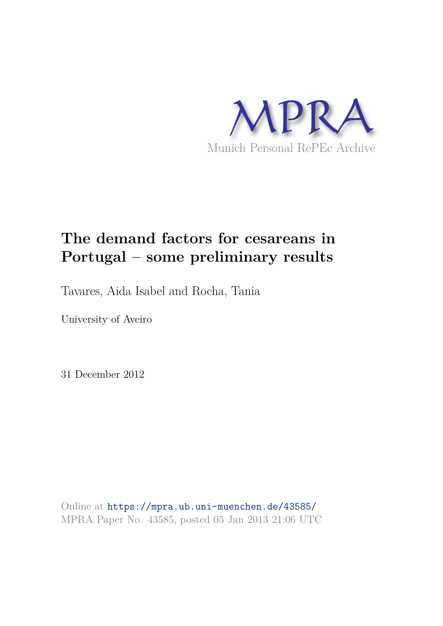

# **The demand factors for cesareans in Portugal – some preliminary results**

Tavares, Aida Isabel and Rocha, Tania

University of Aveiro

31 December 2012

Online at https://mpra.ub.uni-muenchen.de/43585/ MPRA Paper No. 43585, posted 05 Jan 2013 21:06 UTC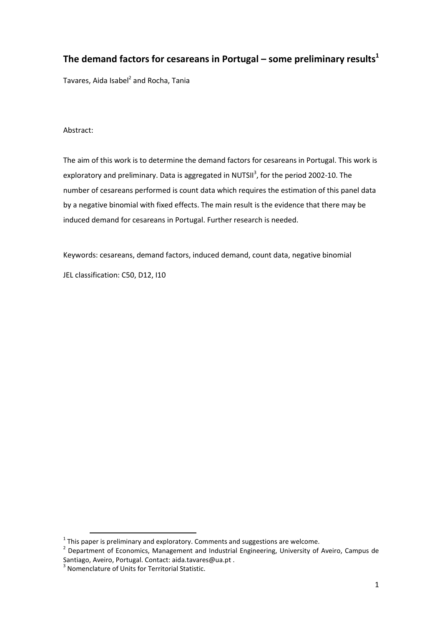# **The demand factors for cesareans in Portugal – some preliminary results<sup>1</sup>**

Tavares, Aida Isabel<sup>2</sup> and Rocha, Tania

### Abstract:

The aim of this work is to determine the demand factors for cesareans in Portugal. This work is exploratory and preliminary. Data is aggregated in NUTSII<sup>3</sup>, for the period 2002-10. The number of cesareans performed is count data which requires the estimation of this panel data by a negative binomial with fixed effects. The main result is the evidence that there may be induced demand for cesareans in Portugal. Further research is needed.

Keywords: cesareans, demand factors, induced demand, count data, negative binomial JEL classification: C50, D12, I10

 $\overline{a}$ 

 $1$  This paper is preliminary and exploratory. Comments and suggestions are welcome.

<sup>&</sup>lt;sup>2</sup> Department of Economics, Management and Industrial Engineering, University of Aveiro, Campus de Santiago, Aveiro, Portugal. Contact: aida.tavares@ua.pt .

<sup>&</sup>lt;sup>3</sup> Nomenclature of Units for Territorial Statistic.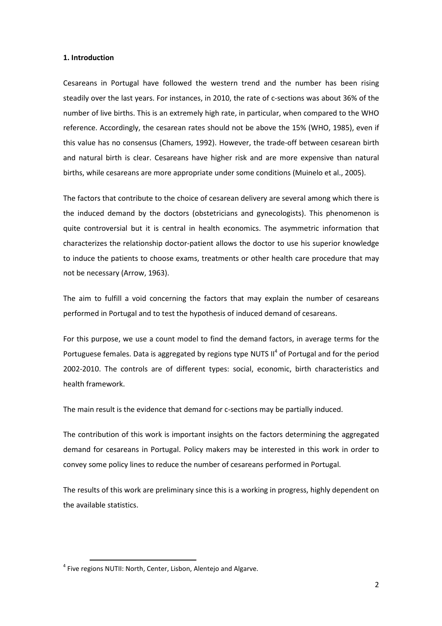#### **1. Introduction**

Cesareans in Portugal have followed the western trend and the number has been rising steadily over the last years. For instances, in 2010, the rate of c-sections was about 36% of the number of live births. This is an extremely high rate, in particular, when compared to the WHO reference. Accordingly, the cesarean rates should not be above the 15% (WHO, 1985), even if this value has no consensus (Chamers, 1992). However, the trade-off between cesarean birth and natural birth is clear. Cesareans have higher risk and are more expensive than natural births, while cesareans are more appropriate under some conditions (Muinelo et al., 2005).

The factors that contribute to the choice of cesarean delivery are several among which there is the induced demand by the doctors (obstetricians and gynecologists). This phenomenon is quite controversial but it is central in health economics. The asymmetric information that characterizes the relationship doctor-patient allows the doctor to use his superior knowledge to induce the patients to choose exams, treatments or other health care procedure that may not be necessary (Arrow, 1963).

The aim to fulfill a void concerning the factors that may explain the number of cesareans performed in Portugal and to test the hypothesis of induced demand of cesareans.

For this purpose, we use a count model to find the demand factors, in average terms for the Portuguese females. Data is aggregated by regions type NUTS  $II^4$  of Portugal and for the period 2002-2010. The controls are of different types: social, economic, birth characteristics and health framework.

The main result is the evidence that demand for c-sections may be partially induced.

The contribution of this work is important insights on the factors determining the aggregated demand for cesareans in Portugal. Policy makers may be interested in this work in order to convey some policy lines to reduce the number of cesareans performed in Portugal.

The results of this work are preliminary since this is a working in progress, highly dependent on the available statistics.

<sup>&</sup>lt;sup>4</sup> Five regions NUTII: North, Center, Lisbon, Alentejo and Algarve.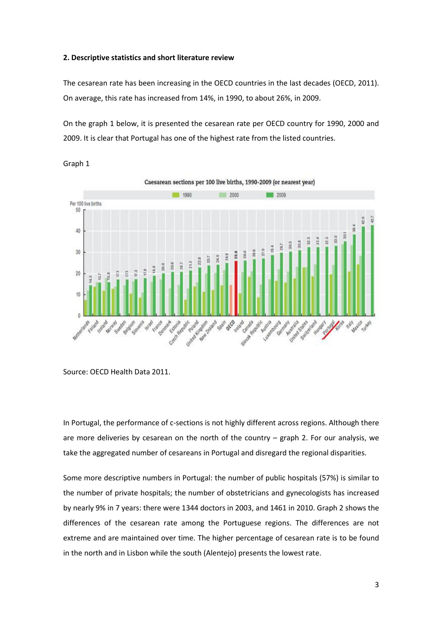#### **2. Descriptive statistics and short literature review**

The cesarean rate has been increasing in the OECD countries in the last decades (OECD, 2011). On average, this rate has increased from 14%, in 1990, to about 26%, in 2009.

On the graph 1 below, it is presented the cesarean rate per OECD country for 1990, 2000 and 2009. It is clear that Portugal has one of the highest rate from the listed countries.





In Portugal, the performance of c-sections is not highly different across regions. Although there are more deliveries by cesarean on the north of the country – graph 2. For our analysis, we take the aggregated number of cesareans in Portugal and disregard the regional disparities.

Some more descriptive numbers in Portugal: the number of public hospitals (57%) is similar to the number of private hospitals; the number of obstetricians and gynecologists has increased by nearly 9% in 7 years: there were 1344 doctors in 2003, and 1461 in 2010. Graph 2 shows the differences of the cesarean rate among the Portuguese regions. The differences are not extreme and are maintained over time. The higher percentage of cesarean rate is to be found in the north and in Lisbon while the south (Alentejo) presents the lowest rate.

Source: OECD Health Data 2011.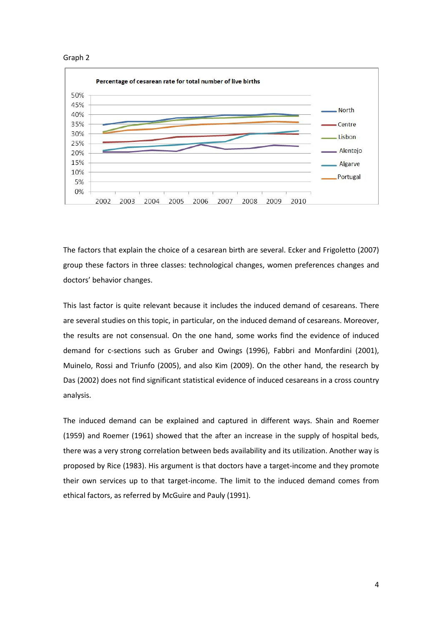



The factors that explain the choice of a cesarean birth are several. Ecker and Frigoletto (2007) group these factors in three classes: technological changes, women preferences changes and doctors' behavior changes.

This last factor is quite relevant because it includes the induced demand of cesareans. There are several studies on this topic, in particular, on the induced demand of cesareans. Moreover, the results are not consensual. On the one hand, some works find the evidence of induced demand for c-sections such as Gruber and Owings (1996), Fabbri and Monfardini (2001), Muinelo, Rossi and Triunfo (2005), and also Kim (2009). On the other hand, the research by Das (2002) does not find significant statistical evidence of induced cesareans in a cross country analysis.

The induced demand can be explained and captured in different ways. Shain and Roemer (1959) and Roemer (1961) showed that the after an increase in the supply of hospital beds, there was a very strong correlation between beds availability and its utilization. Another way is proposed by Rice (1983). His argument is that doctors have a target-income and they promote their own services up to that target-income. The limit to the induced demand comes from ethical factors, as referred by McGuire and Pauly (1991).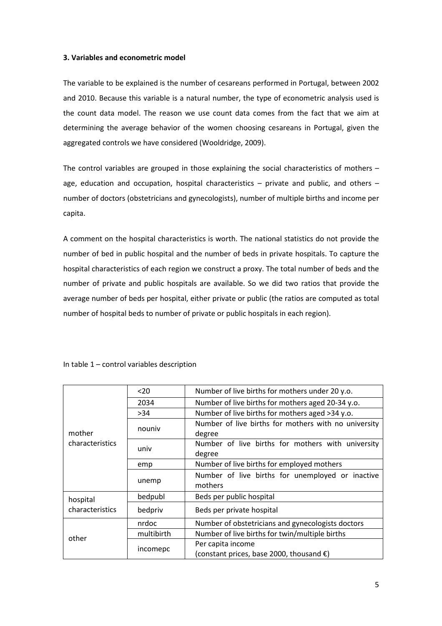#### **3. Variables and econometric model**

The variable to be explained is the number of cesareans performed in Portugal, between 2002 and 2010. Because this variable is a natural number, the type of econometric analysis used is the count data model. The reason we use count data comes from the fact that we aim at determining the average behavior of the women choosing cesareans in Portugal, given the aggregated controls we have considered (Wooldridge, 2009).

The control variables are grouped in those explaining the social characteristics of mothers – age, education and occupation, hospital characteristics – private and public, and others – number of doctors (obstetricians and gynecologists), number of multiple births and income per capita.

A comment on the hospital characteristics is worth. The national statistics do not provide the number of bed in public hospital and the number of beds in private hospitals. To capture the hospital characteristics of each region we construct a proxy. The total number of beds and the number of private and public hospitals are available. So we did two ratios that provide the average number of beds per hospital, either private or public (the ratios are computed as total number of hospital beds to number of private or public hospitals in each region).

| mother<br>characteristics | $20$       | Number of live births for mothers under 20 y.o.      |  |  |
|---------------------------|------------|------------------------------------------------------|--|--|
|                           | 2034       | Number of live births for mothers aged 20-34 y.o.    |  |  |
|                           | >34        | Number of live births for mothers aged >34 y.o.      |  |  |
|                           | nouniv     | Number of live births for mothers with no university |  |  |
|                           |            | degree                                               |  |  |
|                           | univ       | Number of live births for mothers with university    |  |  |
|                           |            | degree                                               |  |  |
|                           | emp        | Number of live births for employed mothers           |  |  |
|                           | unemp      | Number of live births for unemployed or inactive     |  |  |
|                           |            | mothers                                              |  |  |
| hospital                  | bedpubl    | Beds per public hospital                             |  |  |
| characteristics           | bedpriv    | Beds per private hospital                            |  |  |
| other                     | nrdoc      | Number of obstetricians and gynecologists doctors    |  |  |
|                           | multibirth | Number of live births for twin/multiple births       |  |  |
|                           | incomepc   | Per capita income                                    |  |  |
|                           |            | (constant prices, base 2000, thousand $\epsilon$ )   |  |  |

In table 1 – control variables description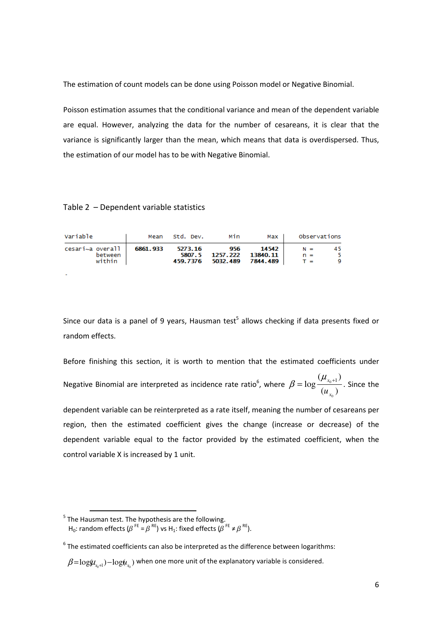The estimation of count models can be done using Poisson model or Negative Binomial.

Poisson estimation assumes that the conditional variance and mean of the dependent variable are equal. However, analyzing the data for the number of cesareans, it is clear that the variance is significantly larger than the mean, which means that data is overdispersed. Thus, the estimation of our model has to be with Negative Binomial.

#### Table 2 – Dependent variable statistics

| Variable                                | Mean     | std. Dev. | Min                                                  | Max I             | Observations            |         |
|-----------------------------------------|----------|-----------|------------------------------------------------------|-------------------|-------------------------|---------|
| cesari~a overall  <br>between<br>within | 6861.933 | 5273.16   | 956<br>5807.5 1257.222 13840.11<br>459.7376 5032.489 | 14542<br>7844.489 | $N =$<br>$n =$<br>$T =$ | 45<br>9 |

Since our data is a panel of 9 years, Hausman test<sup>5</sup> allows checking if data presents fixed or random effects.

Before finishing this section, it is worth to mention that the estimated coefficients under Negative Binomial are interpreted as incidence rate ratio $6$ , where  $(u_{x_{0}})$  $(\mu_{_{x_0+1}})$  $\log \frac{(\mu_{x_0+1})}{(x_0+1)}$  $\mathbf{0}$ *x x u*  $\beta = \log \frac{(\mu_{x_0+1})}{\sigma}$ . Since the

dependent variable can be reinterpreted as a rate itself, meaning the number of cesareans per region, then the estimated coefficient gives the change (increase or decrease) of the dependent variable equal to the factor provided by the estimated coefficient, when the control variable X is increased by 1 unit.

<sup>&</sup>lt;sup>5</sup> The Hausman test. The hypothesis are the following. H<sub>0</sub>: random effects  $(\beta^{FE} = \beta^{RE})$  vs H<sub>1</sub>: fixed effects  $(\beta^{FE} \neq \beta^{RE})$ .

 $6$  The estimated coefficients can also be interpreted as the difference between logarithms:

 $\beta = \log(\mu_{x_0+1}) - \log(\mu_{x_0})$  when one more unit of the explanatory variable is considered.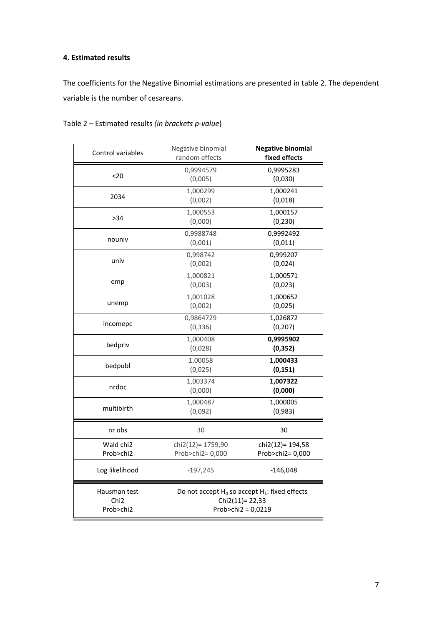## **4. Estimated results**

The coefficients for the Negative Binomial estimations are presented in table 2. The dependent variable is the number of cesareans.

| Control variables                             | Negative binomial<br>random effects                                                          | <b>Negative binomial</b><br>fixed effects |  |
|-----------------------------------------------|----------------------------------------------------------------------------------------------|-------------------------------------------|--|
| $20$                                          | 0,9994579<br>(0,005)                                                                         | 0,9995283<br>(0,030)                      |  |
| 2034                                          | 1,000299<br>(0,002)                                                                          | 1,000241<br>(0,018)                       |  |
| >34                                           | 1,000553<br>(0,000)                                                                          | 1,000157<br>(0, 230)                      |  |
| nouniv                                        | 0,9988748<br>(0,001)                                                                         | 0,9992492<br>(0,011)                      |  |
| univ                                          | 0,998742<br>(0,002)                                                                          | 0,999207<br>(0,024)                       |  |
| emp                                           | 1,000821<br>(0,003)                                                                          | 1,000571<br>(0,023)                       |  |
| unemp                                         | 1,001028<br>(0,002)                                                                          | 1,000652<br>(0,025)                       |  |
| incomepc                                      | 0,9864729<br>(0, 336)                                                                        | 1,026872<br>(0, 207)                      |  |
| bedpriv                                       | 1,000408<br>(0,028)                                                                          | 0,9995902<br>(0, 352)                     |  |
| bedpubl                                       | 1,00058<br>(0,025)                                                                           | 1,000433<br>(0, 151)                      |  |
| nrdoc                                         | 1,003374<br>(0,000)                                                                          | 1,007322<br>(0,000)                       |  |
| multibirth                                    | 1,000487<br>(0,092)                                                                          | 1,000005<br>(0,983)                       |  |
| nr obs                                        | 30                                                                                           | 30                                        |  |
| Wald chi2<br>Prob>chi2                        | chi2(12)= 1759,90<br>Prob>chi2= 0,000                                                        | chi2(12)= 194,58<br>Prob>chi2= 0,000      |  |
| Log likelihood                                | $-197,245$                                                                                   | $-146,048$                                |  |
| Hausman test<br>Chi <sub>2</sub><br>Prob>chi2 | Do not accept $H_0$ so accept $H_1$ : fixed effects<br>Chi2(11)= 22,33<br>Prob>chi2 = 0,0219 |                                           |  |

Table 2 – Estimated results *(in brackets p-value*)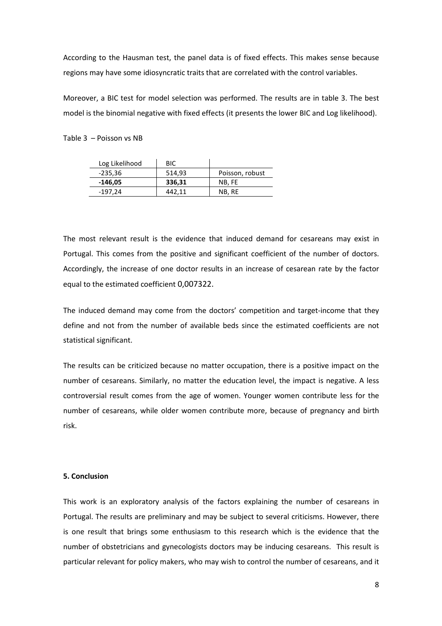According to the Hausman test, the panel data is of fixed effects. This makes sense because regions may have some idiosyncratic traits that are correlated with the control variables.

Moreover, a BIC test for model selection was performed. The results are in table 3. The best model is the binomial negative with fixed effects (it presents the lower BIC and Log likelihood).

Table 3 – Poisson vs NB

| Log Likelihood | <b>BIC</b> |                 |
|----------------|------------|-----------------|
| -235,36        | 514,93     | Poisson, robust |
| -146,05        | 336,31     | NB. FE          |
| -197.24        | 442.11     | NB, RE          |

The most relevant result is the evidence that induced demand for cesareans may exist in Portugal. This comes from the positive and significant coefficient of the number of doctors. Accordingly, the increase of one doctor results in an increase of cesarean rate by the factor equal to the estimated coefficient 0,007322.

The induced demand may come from the doctors' competition and target-income that they define and not from the number of available beds since the estimated coefficients are not statistical significant.

The results can be criticized because no matter occupation, there is a positive impact on the number of cesareans. Similarly, no matter the education level, the impact is negative. A less controversial result comes from the age of women. Younger women contribute less for the number of cesareans, while older women contribute more, because of pregnancy and birth risk.

#### **5. Conclusion**

This work is an exploratory analysis of the factors explaining the number of cesareans in Portugal. The results are preliminary and may be subject to several criticisms. However, there is one result that brings some enthusiasm to this research which is the evidence that the number of obstetricians and gynecologists doctors may be inducing cesareans. This result is particular relevant for policy makers, who may wish to control the number of cesareans, and it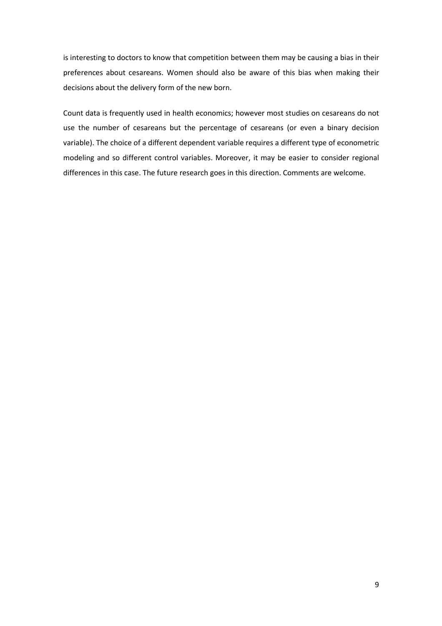is interesting to doctors to know that competition between them may be causing a bias in their preferences about cesareans. Women should also be aware of this bias when making their decisions about the delivery form of the new born.

Count data is frequently used in health economics; however most studies on cesareans do not use the number of cesareans but the percentage of cesareans (or even a binary decision variable). The choice of a different dependent variable requires a different type of econometric modeling and so different control variables. Moreover, it may be easier to consider regional differences in this case. The future research goes in this direction. Comments are welcome.